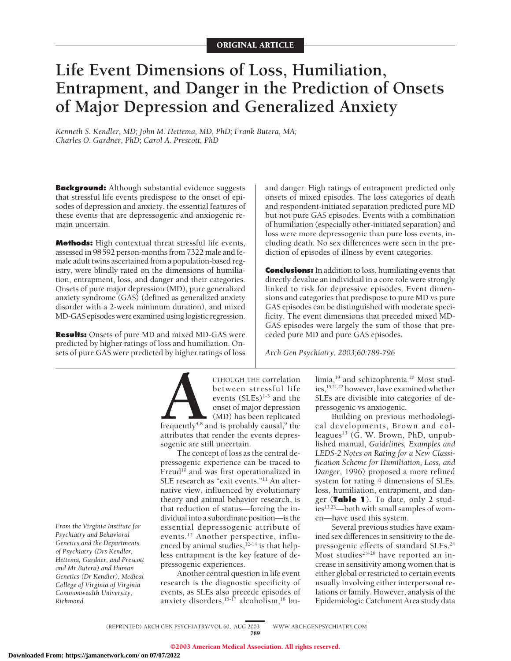# **Life Event Dimensions of Loss, Humiliation, Entrapment, and Danger in the Prediction of Onsets of Major Depression and Generalized Anxiety**

*Kenneth S. Kendler, MD; John M. Hettema, MD, PhD; Frank Butera, MA; Charles O. Gardner, PhD; Carol A. Prescott, PhD*

**Background:** Although substantial evidence suggests that stressful life events predispose to the onset of episodes of depression and anxiety, the essential features of these events that are depressogenic and anxiogenic remain uncertain.

**Methods:** High contextual threat stressful life events, assessed in 98592 person-months from 7322 male and female adult twins ascertained from a population-based registry, were blindly rated on the dimensions of humiliation, entrapment, loss, and danger and their categories. Onsets of pure major depression (MD), pure generalized anxiety syndrome (GAS) (defined as generalized anxiety disorder with a 2-week minimum duration), and mixed MD-GAS episodes were examined using logistic regression.

**Results:** Onsets of pure MD and mixed MD-GAS were predicted by higher ratings of loss and humiliation. Onsets of pure GAS were predicted by higher ratings of loss

and danger. High ratings of entrapment predicted only onsets of mixed episodes. The loss categories of death and respondent-initiated separation predicted pure MD but not pure GAS episodes. Events with a combination of humiliation (especially other-initiated separation) and loss were more depressogenic than pure loss events, including death. No sex differences were seen in the prediction of episodes of illness by event categories.

**Conclusions:** In addition to loss, humiliating events that directly devalue an individual in a core role were strongly linked to risk for depressive episodes. Event dimensions and categories that predispose to pure MD vs pure GAS episodes can be distinguished with moderate specificity. The event dimensions that preceded mixed MD-GAS episodes were largely the sum of those that preceded pure MD and pure GAS episodes.

*Arch Gen Psychiatry. 2003;60:789-796*

*From the Virginia Institute for Psychiatry and Behavioral Genetics and the Departments of Psychiatry (Drs Kendler, Hettema, Gardner, and Prescott and Mr Butera) and Human Genetics (Dr Kendler), Medical College of Virginia of Virginia Commonwealth University, Richmond.*

**ALTHOUGH THE correlation**<br>between stressful life<br>events (SLEs)<sup>1-3</sup> and the<br>onset of major depression<br>(MD) has been replicated<br>frequently<sup>4-8</sup> and is probably causal,<sup>9</sup> the<br>attributes that render the events depresbetween stressful life events  $(SLEs)^{1-3}$  and the onset of major depression (MD) has been replicated frequently<sup>4-8</sup> and is probably causal, $9$  the attributes that render the events depressogenic are still uncertain.

The concept of loss as the central depressogenic experience can be traced to Freud<sup>10</sup> and was first operationalized in SLE research as "exit events."11 An alternative view, influenced by evolutionary theory and animal behavior research, is that reduction of status—forcing the individual into a subordinate position—is the essential depressogenic attribute of events.12 Another perspective, influenced by animal studies,  $^{12-14}$  is that helpless entrapment is the key feature of depressogenic experiences.

Another central question in life event research is the diagnostic specificity of events, as SLEs also precede episodes of anxiety disorders,  $15-\tilde{17}$  alcoholism,  $18$  bulimia,<sup>19</sup> and schizophrenia.<sup>20</sup> Most studies,15,21,22 however, have examined whether SLEs are divisible into categories of depressogenic vs anxiogenic.

Building on previous methodological developments, Brown and colleagues $^{13}$  (G. W. Brown, PhD, unpublished manual, *Guidelines, Examples and LEDS-2 Notes on Rating for a New Classification Scheme for Humiliation, Loss, and Danger*, 1996) proposed a more refined system for rating 4 dimensions of SLEs: loss, humiliation, entrapment, and danger (**Table 1**). To date, only 2 studies<sup>13,23</sup>—both with small samples of women—have used this system.

Several previous studies have examined sex differences in sensitivity to the depressogenic effects of standard SLEs.<sup>24</sup> Most studies<sup>25-28</sup> have reported an increase in sensitivity among women that is either global or restricted to certain events usually involving either interpersonal relations or family. However, analysis of the Epidemiologic Catchment Area study data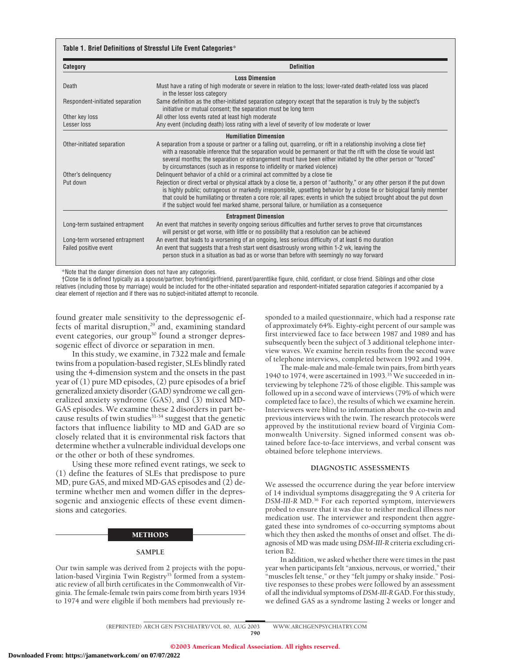## **Table 1. Brief Definitions of Stressful Life Event Categories**\*

| Category                        | <b>Definition</b>                                                                                                                                                                                                                                                                                                                                                                                                                                                        |  |  |  |
|---------------------------------|--------------------------------------------------------------------------------------------------------------------------------------------------------------------------------------------------------------------------------------------------------------------------------------------------------------------------------------------------------------------------------------------------------------------------------------------------------------------------|--|--|--|
| <b>Loss Dimension</b>           |                                                                                                                                                                                                                                                                                                                                                                                                                                                                          |  |  |  |
| Death                           | Must have a rating of high moderate or severe in relation to the loss; lower-rated death-related loss was placed<br>in the lesser loss category                                                                                                                                                                                                                                                                                                                          |  |  |  |
| Respondent-initiated separation | Same definition as the other-initiated separation category except that the separation is truly by the subject's<br>initiative or mutual consent; the separation must be long term                                                                                                                                                                                                                                                                                        |  |  |  |
| Other key loss                  | All other loss events rated at least high moderate                                                                                                                                                                                                                                                                                                                                                                                                                       |  |  |  |
| Lesser loss                     | Any event (including death) loss rating with a level of severity of low moderate or lower                                                                                                                                                                                                                                                                                                                                                                                |  |  |  |
| <b>Humiliation Dimension</b>    |                                                                                                                                                                                                                                                                                                                                                                                                                                                                          |  |  |  |
| Other-initiated separation      | A separation from a spouse or partner or a falling out, quarreling, or rift in a relationship involving a close tiet<br>with a reasonable inference that the separation would be permanent or that the rift with the close tie would last<br>several months; the separation or estrangement must have been either initiated by the other person or "forced"<br>by circumstances (such as in response to infidelity or marked violence)                                   |  |  |  |
| Other's delinguency             | Delinguent behavior of a child or a criminal act committed by a close tie                                                                                                                                                                                                                                                                                                                                                                                                |  |  |  |
| Put down                        | Rejection or direct verbal or physical attack by a close tie, a person of "authority," or any other person if the put down<br>is highly public; outrageous or markedly irresponsible, upsetting behavior by a close tie or biological family member<br>that could be humiliating or threaten a core role; all rapes; events in which the subject brought about the put down<br>if the subject would feel marked shame, personal failure, or humiliation as a consequence |  |  |  |
| <b>Entrapment Dimension</b>     |                                                                                                                                                                                                                                                                                                                                                                                                                                                                          |  |  |  |
| Long-term sustained entrapment  | An event that matches in severity ongoing serious difficulties and further serves to prove that circumstances<br>will persist or get worse, with little or no possibility that a resolution can be achieved                                                                                                                                                                                                                                                              |  |  |  |
| Long-term worsened entrapment   | An event that leads to a worsening of an ongoing, less serious difficulty of at least 6 mo duration                                                                                                                                                                                                                                                                                                                                                                      |  |  |  |
| Failed positive event           | An event that suggests that a fresh start went disastrously wrong within 1-2 wk, leaving the<br>person stuck in a situation as bad as or worse than before with seemingly no way forward                                                                                                                                                                                                                                                                                 |  |  |  |

\*Note that the danger dimension does not have any categories.

†Close tie is defined typically as a spouse/partner, boyfriend/girlfriend, parent/parentlike figure, child, confidant, or close friend. Siblings and other close relatives (including those by marriage) would be included for the other-initiated separation and respondent-initiated separation categories if accompanied by a clear element of rejection and if there was no subject-initiated attempt to reconcile.

found greater male sensitivity to the depressogenic effects of marital disruption,<sup>29</sup> and, examining standard event categories, our group<sup>30</sup> found a stronger depressogenic effect of divorce or separation in men.

In this study, we examine, in 7322 male and female twins from a population-based register, SLEs blindly rated using the 4-dimension system and the onsets in the past year of (1) pure MD episodes, (2) pure episodes of a brief generalized anxiety disorder (GAD) syndrome we call generalized anxiety syndrome (GAS), and (3) mixed MD-GAS episodes. We examine these 2 disorders in part because results of twin studies $31-34$  suggest that the genetic factors that influence liability to MD and GAD are so closely related that it is environmental risk factors that determine whether a vulnerable individual develops one or the other or both of these syndromes.

Using these more refined event ratings, we seek to (1) define the features of SLEs that predispose to pure MD, pure GAS, and mixed MD-GAS episodes and (2) determine whether men and women differ in the depressogenic and anxiogenic effects of these event dimensions and categories.

#### METHODS

#### **SAMPLE**

Our twin sample was derived from 2 projects with the population-based Virginia Twin Registry<sup>35</sup> formed from a systematic review of all birth certificates in the Commonwealth of Virginia. The female-female twin pairs come from birth years 1934 to 1974 and were eligible if both members had previously responded to a mailed questionnaire, which had a response rate of approximately 64%. Eighty-eight percent of our sample was first interviewed face to face between 1987 and 1989 and has subsequently been the subject of 3 additional telephone interview waves. We examine herein results from the second wave of telephone interviews, completed between 1992 and 1994.

The male-male and male-female twin pairs, from birth years 1940 to 1974, were ascertained in 1993.<sup>35</sup> We succeeded in interviewing by telephone 72% of those eligible. This sample was followed up in a second wave of interviews (79% of which were completed face to face), the results of which we examine herein. Interviewers were blind to information about the co-twin and previous interviews with the twin. The research protocols were approved by the institutional review board of Virginia Commonwealth University. Signed informed consent was obtained before face-to-face interviews, and verbal consent was obtained before telephone interviews.

# **DIAGNOSTIC ASSESSMENTS**

We assessed the occurrence during the year before interview of 14 individual symptoms disaggregating the 9 A criteria for *DSM-III-R* MD.36 For each reported symptom, interviewers probed to ensure that it was due to neither medical illness nor medication use. The interviewer and respondent then aggregated these into syndromes of co-occurring symptoms about which they then asked the months of onset and offset. The diagnosis of MD was made using *DSM-III-R* criteria excluding criterion B2.

In addition, we asked whether there were times in the past year when participants felt "anxious, nervous, or worried," their "muscles felt tense," or they "felt jumpy or shaky inside." Positive responses to these probes were followed by an assessment of all the individual symptoms of*DSM-III-R* GAD. For this study, we defined GAS as a syndrome lasting 2 weeks or longer and

(REPRINTED) ARCH GEN PSYCHIATRY/ VOL 60, AUG 2003 WWW.ARCHGENPSYCHIATRY.COM 790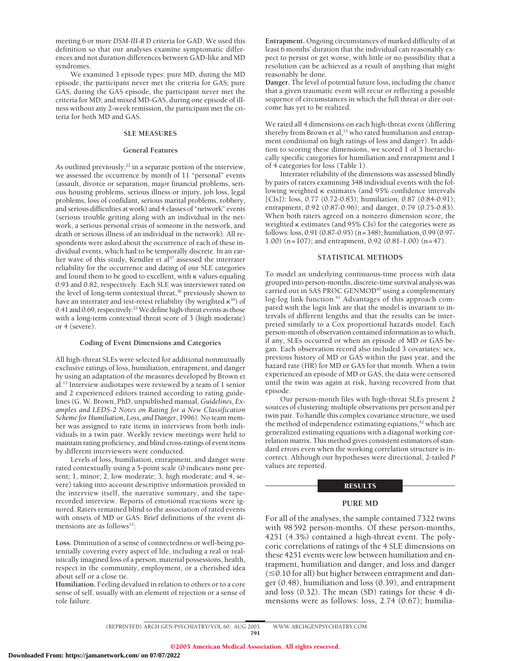meeting 6 or more *DSM-III-R* D criteria for GAD. We used this definition so that our analyses examine symptomatic differences and not duration differences between GAD-like and MD syndromes.

We examined 3 episode types: pure MD, during the MD episode, the participant never met the criteria for GAS; pure GAS, during the GAS episode, the participant never met the criteria for MD; and mixed MD-GAS, during one episode of illness without any 2-week remission, the participant met the criteria for both MD and GAS.

## **SLE MEASURES**

# **General Features**

As outlined previously, $2^{2}$  in a separate portion of the interview, we assessed the occurrence by month of 11 "personal" events (assault, divorce or separation, major financial problems, serious housing problems, serious illness or injury, job loss, legal problems, loss of confidant, serious marital problems, robbery, and serious difficulties at work) and 4 classes of "network" events (serious trouble getting along with an individual in the network, a serious personal crisis of someone in the network, and death or serious illness of an individual in the network). All respondents were asked about the occurrence of each of these individual events, which had to be temporally discrete. In an earlier wave of this study, Kendler et al<sup>37</sup> assessed the interrater reliability for the occurrence and dating of our SLE categories and found them to be good to excellent, with  $\kappa$  values equaling 0.93 and 0.82, respectively. Each SLE was interviewer rated on the level of long-term contextual threat,<sup>38</sup> previously shown to have an interrater and test-retest reliability (by weighted  $\kappa^{39}$ ) of 0.41 and 0.69, respectively.<sup>22</sup> We define high-threat events as those with a long-term contextual threat score of 3 (high moderate) or 4 (severe).

#### **Coding of Event Dimensions and Categories**

All high-threat SLEs were selected for additional nonmutually exclusive ratings of loss, humiliation, entrapment, and danger by using an adaptation of the measures developed by Brown et al.13 Interview audiotapes were reviewed by a team of 1 senior and 2 experienced editors trained according to rating guidelines (G. W. Brown, PhD, unpublished manual, *Guidelines, Examples and LEDS-2 Notes on Rating for a New Classification Scheme for Humiliation, Loss, and Danger*, 1996). No team member was assigned to rate items in interviews from both individuals in a twin pair. Weekly review meetings were held to maintain rating proficiency, and blind cross-ratings of event items by different interviewers were conducted.

Levels of loss, humiliation, entrapment, and danger were rated contextually using a 5-point scale (0 indicates none present; 1, minor; 2, low moderate; 3, high moderate; and 4, severe) taking into account descriptive information provided in the interview itself, the narrative summary, and the taperecorded interview. Reports of emotional reactions were ignored. Raters remained blind to the association of rated events with onsets of MD or GAS. Brief definitions of the event dimensions are as follows<sup>13</sup>:

**Loss.** Diminution of a sense of connectedness or well-being potentially covering every aspect of life, including a real or realistically imagined loss of a person, material possessions, health, respect in the community, employment, or a cherished idea about self or a close tie.

**Humiliation.** Feeling devalued in relation to others or to a core sense of self, usually with an element of rejection or a sense of role failure.

**Entrapment.** Ongoing circumstances of marked difficulty of at least 6 months' duration that the individual can reasonably expect to persist or get worse, with little or no possibility that a resolution can be achieved as a result of anything that might reasonably be done.

**Danger.** The level of potential future loss, including the chance that a given traumatic event will recur or reflecting a possible sequence of circumstances in which the full threat or dire outcome has yet to be realized.

We rated all 4 dimensions on each high-threat event (differing thereby from Brown et al,<sup>13</sup> who rated humiliation and entrapment conditional on high ratings of loss and danger). In addition to scoring these dimensions, we scored 1 of 3 hierarchically specific categories for humiliation and entrapment and 1 of 4 categories for loss (Table 1).

Interrater reliability of the dimensions was assessed blindly by pairs of raters examining 348 individual events with the following weighted  $\kappa$  estimates (and 95% confidence intervals [CIs]): loss, 0.77 (0.72-0.83); humiliation, 0.87 (0.84-0.91); entrapment, 0.92 (0.87-0.96); and danger, 0.79 (0.75-0.83). When both raters agreed on a nonzero dimension score, the weighted  $\kappa$  estimates (and 95% CIs) for the categories were as follows: loss, 0.91 (0.87-0.95) (n=348); humiliation, 0.99 (0.97- 1.00) (n=107); and entrapment, 0.92 (0.81-1.00) (n=47).

#### **STATISTICAL METHODS**

To model an underlying continuous-time process with data grouped into person-months, discrete-time survival analysis was carried out in SAS PROC GENMOD<sup>40</sup> using a complementary log-log link function.<sup>41</sup> Advantages of this approach compared with the logit link are that the model is invariant to intervals of different lengths and that the results can be interpreted similarly to a Cox proportional hazards model. Each person-month of observation contained information as to which, if any, SLEs occurred or when an episode of MD or GAS began. Each observation record also included 3 covariates: sex, previous history of MD or GAS within the past year, and the hazard rate (HR) for MD or GAS for that month. When a twin experienced an episode of MD or GAS, the data were censored until the twin was again at risk, having recovered from that episode.

Our person-month files with high-threat SLEs present 2 sources of clustering: multiple observations per person and per twin pair. To handle this complex covariance structure, we used the method of independence estimating equations, $42$  which are generalized estimating equations with a diagonal working correlation matrix. This method gives consistent estimators of standard errors even when the working correlation structure is incorrect. Although our hypotheses were directional, 2-tailed *P* values are reported.

#### **RESULTS**

#### **PURE MD**

For all of the analyses, the sample contained 7322 twins with 98592 person-months. Of these person-months, 4251 (4.3%) contained a high-threat event. The polycoric correlations of ratings of the 4 SLE dimensions on these 4251 events were low between humiliation and entrapment, humiliation and danger, and loss and danger  $(\leq 0.10$  for all) but higher between entrapment and danger (0.48), humiliation and loss (0.39), and entrapment and loss (0.32). The mean (SD) ratings for these 4 dimensions were as follows: loss, 2.74 (0.67); humilia-

(REPRINTED) ARCH GEN PSYCHIATRY/ VOL 60, AUG 2003 WWW.ARCHGENPSYCHIATRY.COM 791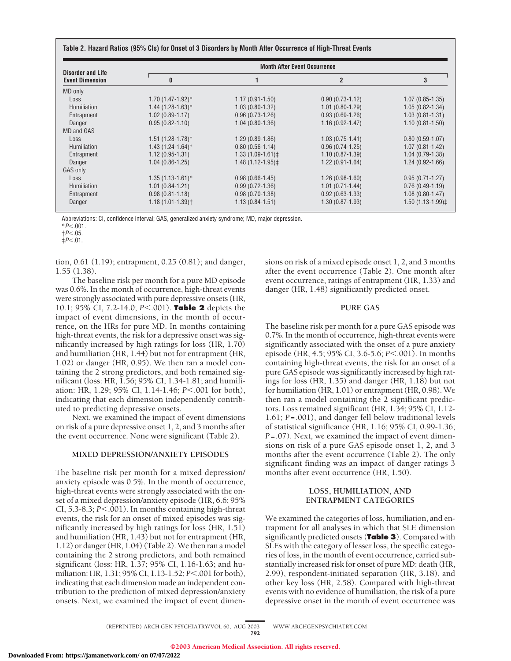|  |  |  |  | Table 2. Hazard Ratios (95% Cls) for Onset of 3 Disorders by Month After Occurrence of High-Threat Events |
|--|--|--|--|-----------------------------------------------------------------------------------------------------------|
|--|--|--|--|-----------------------------------------------------------------------------------------------------------|

| <b>Disorder and Life</b><br><b>Event Dimension</b> |                     | <b>Month After Event Occurrence</b> |                     |                     |  |  |
|----------------------------------------------------|---------------------|-------------------------------------|---------------------|---------------------|--|--|
|                                                    | 0                   |                                     | $\overline{2}$      | 3                   |  |  |
| MD only                                            |                     |                                     |                     |                     |  |  |
| Loss                                               | $1.70(1.47-1.92)$ * | $1.17(0.91 - 1.50)$                 | $0.90(0.73 - 1.12)$ | $1.07(0.85 - 1.35)$ |  |  |
| Humiliation                                        | $1.44$ (1.28-1.63)* | $1.03(0.80-1.32)$                   | $1.01(0.80-1.29)$   | $1.05(0.82 - 1.34)$ |  |  |
| Entrapment                                         | $1.02(0.89 - 1.17)$ | $0.96(0.73-1.26)$                   | $0.93(0.69-1.26)$   | $1.03(0.81 - 1.31)$ |  |  |
| Danger                                             | $0.95(0.82 - 1.10)$ | $1.04(0.80-1.36)$                   | $1.16(0.92 - 1.47)$ | $1.10(0.81 - 1.50)$ |  |  |
| <b>MD and GAS</b>                                  |                     |                                     |                     |                     |  |  |
| Loss                                               | $1.51(1.28-1.78)$ * | $1.29(0.89-1.86)$                   | $1.03(0.75-1.41)$   | $0.80(0.59-1.07)$   |  |  |
| <b>Humiliation</b>                                 | $1.43(1.24-1.64)$ * | $0.80(0.56 - 1.14)$                 | $0.96(0.74-1.25)$   | $1.07(0.81 - 1.42)$ |  |  |
| Entrapment                                         | $1.12(0.95 - 1.31)$ | $1.33(1.09-1.61)$                   | $1.10(0.87 - 1.39)$ | $1.04(0.79-1.38)$   |  |  |
| Danger                                             | $1.04(0.86-1.25)$   | $1.48(1.12 - 1.95)$                 | $1.22(0.91-1.64)$   | $1.24(0.92 - 1.66)$ |  |  |
| GAS only                                           |                     |                                     |                     |                     |  |  |
| Loss                                               | $1.35(1.13-1.61)$ * | $0.98(0.66 - 1.45)$                 | $1.26(0.98-1.60)$   | $0.95(0.71 - 1.27)$ |  |  |
| <b>Humiliation</b>                                 | $1.01(0.84-1.21)$   | $0.99(0.72 - 1.36)$                 | $1.01(0.71 - 1.44)$ | $0.76(0.49-1.19)$   |  |  |
| Entrapment                                         | $0.98(0.81 - 1.18)$ | $0.98(0.70-1.38)$                   | $0.92(0.63 - 1.33)$ | $1.08(0.80 - 1.47)$ |  |  |
| Danger                                             | $1.18(1.01 - 1.39)$ | $1.13(0.84 - 1.51)$                 | $1.30(0.87 - 1.93)$ | $1.50(1.13-1.99)$   |  |  |

Abbreviations: CI, confidence interval; GAS, generalized anxiety syndrome; MD, major depression.

\**P*.001.

†*P*.05.

 $\frac{1}{4}P<.01$ .

tion, 0.61 (1.19); entrapment, 0.25 (0.81); and danger, 1.55 (1.38).

The baseline risk per month for a pure MD episode was 0.6%. In the month of occurrence, high-threat events were strongly associated with pure depressive onsets (HR, 10.1; 95% CI, 7.2-14.0; *P*.001). **Table 2** depicts the impact of event dimensions, in the month of occurrence, on the HRs for pure MD. In months containing high-threat events, the risk for a depressive onset was significantly increased by high ratings for loss (HR, 1.70) and humiliation (HR, 1.44) but not for entrapment (HR, 1.02) or danger (HR, 0.95). We then ran a model containing the 2 strong predictors, and both remained significant (loss: HR, 1.56; 95% CI, 1.34-1.81; and humiliation: HR, 1.29; 95% CI, 1.14-1.46; *P*<.001 for both), indicating that each dimension independently contributed to predicting depressive onsets.

Next, we examined the impact of event dimensions on risk of a pure depressive onset 1, 2, and 3 months after the event occurrence. None were significant (Table 2).

# **MIXED DEPRESSION/ANXIETY EPISODES**

The baseline risk per month for a mixed depression/ anxiety episode was 0.5%. In the month of occurrence, high-threat events were strongly associated with the onset of a mixed depression/anxiety episode (HR, 6.6; 95% CI, 5.3-8.3; *P*<.001). In months containing high-threat events, the risk for an onset of mixed episodes was significantly increased by high ratings for loss (HR, 1.51) and humiliation (HR, 1.43) but not for entrapment (HR, 1.12) or danger (HR, 1.04) (Table 2).We then ran a model containing the 2 strong predictors, and both remained significant (loss: HR, 1.37; 95% CI, 1.16-1.63; and humiliation: HR, 1.31; 95% CI, 1.13-1.52; *P*<.001 for both), indicating that each dimension made an independent contribution to the prediction of mixed depression/anxiety onsets. Next, we examined the impact of event dimensions on risk of a mixed episode onset 1, 2, and 3 months after the event occurrence (Table 2). One month after event occurrence, ratings of entrapment (HR, 1.33) and danger (HR, 1.48) significantly predicted onset.

# **PURE GAS**

The baseline risk per month for a pure GAS episode was 0.7%. In the month of occurrence, high-threat events were significantly associated with the onset of a pure anxiety episode (HR, 4.5; 95% CI, 3.6-5.6; *P*<.001). In months containing high-threat events, the risk for an onset of a pure GAS episode was significantly increased by high ratings for loss (HR, 1.35) and danger (HR, 1.18) but not for humiliation (HR, 1.01) or entrapment (HR, 0.98). We then ran a model containing the 2 significant predictors. Loss remained significant (HR, 1.34; 95% CI, 1.12- 1.61; *P*=.001), and danger fell below traditional levels of statistical significance (HR, 1.16; 95% CI, 0.99-1.36; *P*=.07). Next, we examined the impact of event dimensions on risk of a pure GAS episode onset 1, 2, and 3 months after the event occurrence (Table 2). The only significant finding was an impact of danger ratings 3 months after event occurrence (HR, 1.50).

# **LOSS, HUMILIATION, AND ENTRAPMENT CATEGORIES**

We examined the categories of loss, humiliation, and entrapment for all analyses in which that SLE dimension significantly predicted onsets (**Table 3**). Compared with SLEs with the category of lesser loss, the specific categories of loss, in the month of event occurrence, carried substantially increased risk for onset of pure MD: death (HR, 2.99), respondent-initiated separation (HR, 3.18), and other key loss (HR, 2.58). Compared with high-threat events with no evidence of humiliation, the risk of a pure depressive onset in the month of event occurrence was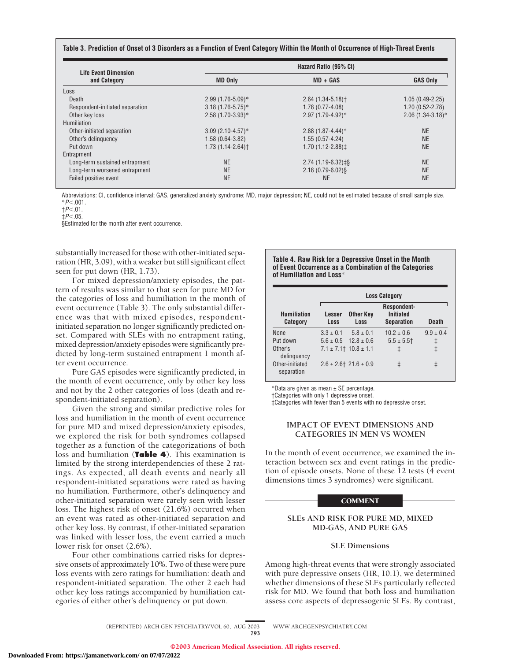#### **Table 3. Prediction of Onset of 3 Disorders as a Function of Event Category Within the Month of Occurrence of High-Threat Events**

| Life Event Dimension            | Hazard Ratio (95% CI) |                             |                     |  |
|---------------------------------|-----------------------|-----------------------------|---------------------|--|
| and Category                    | <b>MD Only</b>        | $MD + GAS$                  | <b>GAS Only</b>     |  |
| Loss                            |                       |                             |                     |  |
| Death                           | $2.99(1.76-5.09)$ *   | $2.64(1.34-5.18)$           | $1.05(0.49-2.25)$   |  |
| Respondent-initiated separation | $3.18(1.76-5.75)^*$   | $1.78(0.77-4.08)$           | $1.20(0.52 - 2.78)$ |  |
| Other key loss                  | $2.58(1.70-3.93)*$    | 2.97 (1.79-4.92)*           | $2.06(1.34-3.18)$ * |  |
| Humiliation                     |                       |                             |                     |  |
| Other-initiated separation      | $3.09(2.10-4.57)$ *   | $2.88(1.87 - 4.44)*$        | <b>NE</b>           |  |
| Other's delinguency             | 1.58 (0.64-3.82)      | $1.55(0.57 - 4.24)$         | <b>NE</b>           |  |
| Put down                        | $1.73(1.14 - 2.64)$   | 1.70 (1.12-2.88) $\ddagger$ | <b>NE</b>           |  |
| Entrapment                      |                       |                             |                     |  |
| Long-term sustained entrapment  | <b>NE</b>             | $2.74(1.19-6.32)$ ‡§        | <b>NE</b>           |  |
| Long-term worsened entrapment   | <b>NE</b>             | $2.18(0.79 - 6.02)$ §       | <b>NE</b>           |  |
| Failed positive event           | <b>NE</b>             | <b>NE</b>                   | <b>NE</b>           |  |

Abbreviations: CI, confidence interval; GAS, generalized anxiety syndrome; MD, major depression; NE, could not be estimated because of small sample size. \**P*.001.

†*P*.01.

 $\frac{1}{2}P<.05$ .

§Estimated for the month after event occurrence.

substantially increased for those with other-initiated separation (HR, 3.09), with a weaker but still significant effect seen for put down (HR, 1.73).

For mixed depression/anxiety episodes, the pattern of results was similar to that seen for pure MD for the categories of loss and humiliation in the month of event occurrence (Table 3). The only substantial difference was that with mixed episodes, respondentinitiated separation no longer significantly predicted onset. Compared with SLEs with no entrapment rating, mixed depression/anxiety episodes were significantly predicted by long-term sustained entrapment 1 month after event occurrence.

Pure GAS episodes were significantly predicted, in the month of event occurrence, only by other key loss and not by the 2 other categories of loss (death and respondent-initiated separation).

Given the strong and similar predictive roles for loss and humiliation in the month of event occurrence for pure MD and mixed depression/anxiety episodes, we explored the risk for both syndromes collapsed together as a function of the categorizations of both loss and humiliation (**Table 4**). This examination is limited by the strong interdependencies of these 2 ratings. As expected, all death events and nearly all respondent-initiated separations were rated as having no humiliation. Furthermore, other's delinquency and other-initiated separation were rarely seen with lesser loss. The highest risk of onset (21.6%) occurred when an event was rated as other-initiated separation and other key loss. By contrast, if other-initiated separation was linked with lesser loss, the event carried a much lower risk for onset (2.6%).

Four other combinations carried risks for depressive onsets of approximately 10%. Two of these were pure loss events with zero ratings for humiliation: death and respondent-initiated separation. The other 2 each had other key loss ratings accompanied by humiliation categories of either other's delinquency or put down.

#### **Table 4. Raw Risk for a Depressive Onset in the Month of Event Occurrence as a Combination of the Categories of Humiliation and Loss**\*

|                                       | <b>Loss Category</b> |                                |                                                      |               |
|---------------------------------------|----------------------|--------------------------------|------------------------------------------------------|---------------|
| <b>Humiliation</b><br><b>Category</b> | Lesser<br>Loss       | <b>Other Key</b><br>Loss       | Respondent-<br><b>Initiated</b><br><b>Separation</b> | <b>Death</b>  |
| None                                  | $3.3 \pm 0.1$        | $5.8 \pm 0.1$                  | $10.2 \pm 0.6$                                       | $9.9 \pm 0.4$ |
| Put down                              |                      | $5.6 \pm 0.5$ $12.8 \pm 0.6$   | $5.5 \pm 5.5$                                        | ŧ             |
| Other's<br>delinguency                |                      | $7.1 \pm 7.1$ † $10.8 \pm 1.1$ | ŧ                                                    | ŧ             |
| Other-initiated<br>separation         |                      | $2.6 \pm 2.6$ † 21.6 $\pm$ 0.9 | ŧ                                                    | ŧ             |

\*Data are given as mean ± SE percentage.

†Categories with only 1 depressive onset.

‡Categories with fewer than 5 events with no depressive onset.

# **IMPACT OF EVENT DIMENSIONS AND CATEGORIES IN MEN VS WOMEN**

In the month of event occurrence, we examined the interaction between sex and event ratings in the prediction of episode onsets. None of these 12 tests (4 event dimensions times 3 syndromes) were significant.

# **COMMENT**

# **SLEs AND RISK FOR PURE MD, MIXED MD-GAS, AND PURE GAS**

# **SLE Dimensions**

Among high-threat events that were strongly associated with pure depressive onsets (HR, 10.1), we determined whether dimensions of these SLEs particularly reflected risk for MD. We found that both loss and humiliation assess core aspects of depressogenic SLEs. By contrast,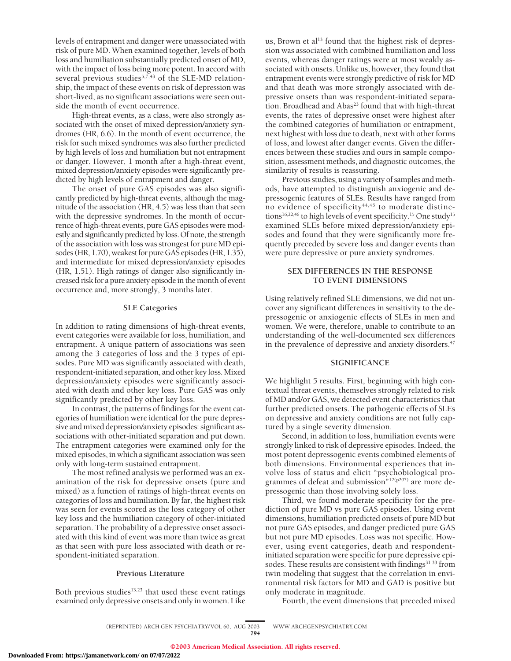levels of entrapment and danger were unassociated with risk of pure MD. When examined together, levels of both loss and humiliation substantially predicted onset of MD, with the impact of loss being more potent. In accord with several previous studies<sup>5,7,43</sup> of the SLE-MD relationship, the impact of these events on risk of depression was short-lived, as no significant associations were seen outside the month of event occurrence.

High-threat events, as a class, were also strongly associated with the onset of mixed depression/anxiety syndromes (HR, 6.6). In the month of event occurrence, the risk for such mixed syndromes was also further predicted by high levels of loss and humiliation but not entrapment or danger. However, 1 month after a high-threat event, mixed depression/anxiety episodes were significantly predicted by high levels of entrapment and danger.

The onset of pure GAS episodes was also significantly predicted by high-threat events, although the magnitude of the association (HR, 4.5) was less than that seen with the depressive syndromes. In the month of occurrence of high-threat events, pure GAS episodes were modestly and significantly predicted byloss. Of note, the strength of the association with loss was strongest for pure MD episodes (HR, 1.70), weakest for pure GAS episodes (HR, 1.35), and intermediate for mixed depression/anxiety episodes (HR, 1.51). High ratings of danger also significantly increased risk for a pure anxiety episode in the month of event occurrence and, more strongly, 3 months later.

## **SLE Categories**

In addition to rating dimensions of high-threat events, event categories were available for loss, humiliation, and entrapment. A unique pattern of associations was seen among the 3 categories of loss and the 3 types of episodes. Pure MD was significantly associated with death, respondent-initiated separation, and other key loss. Mixed depression/anxiety episodes were significantly associated with death and other key loss. Pure GAS was only significantly predicted by other key loss.

In contrast, the patterns of findings for the event categories of humiliation were identical for the pure depressive and mixed depression/anxiety episodes: significant associations with other-initiated separation and put down. The entrapment categories were examined only for the mixed episodes, in which a significant association was seen only with long-term sustained entrapment.

The most refined analysis we performed was an examination of the risk for depressive onsets (pure and mixed) as a function of ratings of high-threat events on categories of loss and humiliation. By far, the highest risk was seen for events scored as the loss category of other key loss and the humiliation category of other-initiated separation. The probability of a depressive onset associated with this kind of event was more than twice as great as that seen with pure loss associated with death or respondent-initiated separation.

# **Previous Literature**

Both previous studies<sup>13,23</sup> that used these event ratings examined only depressive onsets and only in women. Like us, Brown et al<sup>13</sup> found that the highest risk of depression was associated with combined humiliation and loss events, whereas danger ratings were at most weakly associated with onsets. Unlike us, however, they found that entrapment events were strongly predictive of risk for MD and that death was more strongly associated with depressive onsets than was respondent-initiated separation. Broadhead and Abas<sup>23</sup> found that with high-threat events, the rates of depressive onset were highest after the combined categories of humiliation or entrapment, next highest with loss due to death, next with other forms of loss, and lowest after danger events. Given the differences between these studies and ours in sample composition, assessment methods, and diagnostic outcomes, the similarity of results is reassuring.

Previous studies, using a variety of samples and methods, have attempted to distinguish anxiogenic and depressogenic features of SLEs. Results have ranged from no evidence of specificity<sup>44,45</sup> to moderate distinctions<sup>16,22,46</sup> to high levels of event specificity.<sup>15</sup> One study<sup>15</sup> examined SLEs before mixed depression/anxiety episodes and found that they were significantly more frequently preceded by severe loss and danger events than were pure depressive or pure anxiety syndromes.

# **SEX DIFFERENCES IN THE RESPONSE TO EVENT DIMENSIONS**

Using relatively refined SLE dimensions, we did not uncover any significant differences in sensitivity to the depressogenic or anxiogenic effects of SLEs in men and women. We were, therefore, unable to contribute to an understanding of the well-documented sex differences in the prevalence of depressive and anxiety disorders.<sup>47</sup>

# **SIGNIFICANCE**

We highlight 5 results. First, beginning with high contextual threat events, themselves strongly related to risk of MD and/or GAS, we detected event characteristics that further predicted onsets. The pathogenic effects of SLEs on depressive and anxiety conditions are not fully captured by a single severity dimension.

Second, in addition to loss, humiliation events were strongly linked to risk of depressive episodes. Indeed, the most potent depressogenic events combined elements of both dimensions. Environmental experiences that involve loss of status and elicit "psychobiological programmes of defeat and submission<sup>"12(p207)</sup> are more depressogenic than those involving solely loss.

Third, we found moderate specificity for the prediction of pure MD vs pure GAS episodes. Using event dimensions, humiliation predicted onsets of pure MD but not pure GAS episodes, and danger predicted pure GAS but not pure MD episodes. Loss was not specific. However, using event categories, death and respondentinitiated separation were specific for pure depressive episodes. These results are consistent with findings<sup>31-33</sup> from twin modeling that suggest that the correlation in environmental risk factors for MD and GAD is positive but only moderate in magnitude.

Fourth, the event dimensions that preceded mixed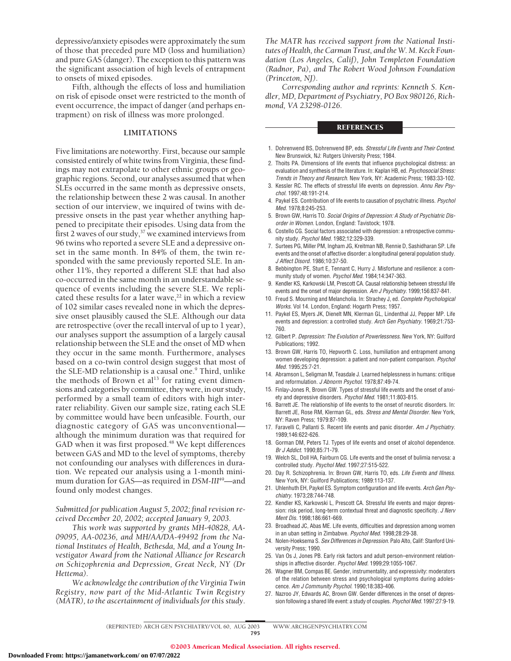depressive/anxiety episodes were approximately the sum of those that preceded pure MD (loss and humiliation) and pure GAS (danger). The exception to this pattern was the significant association of high levels of entrapment to onsets of mixed episodes.

Fifth, although the effects of loss and humiliation on risk of episode onset were restricted to the month of event occurrence, the impact of danger (and perhaps entrapment) on risk of illness was more prolonged.

#### **LIMITATIONS**

Five limitations are noteworthy. First, because our sample consisted entirely of white twins from Virginia, these findings may not extrapolate to other ethnic groups or geographic regions. Second, our analyses assumed that when SLEs occurred in the same month as depressive onsets, the relationship between these 2 was causal. In another section of our interview, we inquired of twins with depressive onsets in the past year whether anything happened to precipitate their episodes. Using data from the first 2 waves of our study, $37$  we examined interviews from 96 twins who reported a severe SLE and a depressive onset in the same month. In 84% of them, the twin responded with the same previously reported SLE. In another 11%, they reported a different SLE that had also co-occurred in the same month in an understandable sequence of events including the severe SLE. We replicated these results for a later wave,<sup>22</sup> in which a review of 102 similar cases revealed none in which the depressive onset plausibly caused the SLE. Although our data are retrospective (over the recall interval of up to 1 year), our analyses support the assumption of a largely causal relationship between the SLE and the onset of MD when they occur in the same month. Furthermore, analyses based on a co-twin control design suggest that most of the SLE-MD relationship is a causal one.<sup>9</sup> Third, unlike the methods of Brown et al<sup>13</sup> for rating event dimensions and categories by committee, they were, in our study, performed by a small team of editors with high interrater reliability. Given our sample size, rating each SLE by committee would have been unfeasible. Fourth, our diagnostic category of GAS was unconventional although the minimum duration was that required for GAD when it was first proposed.<sup>48</sup> We kept differences between GAS and MD to the level of symptoms, thereby not confounding our analyses with differences in duration. We repeated our analysis using a 1-month minimum duration for GAS—as required in *DSM-III*49—and found only modest changes.

*Submitted for publication August 5, 2002; final revision received December 20, 2002; accepted January 9, 2003.*

*This work was supported by grants MH-40828, AA-09095, AA-00236, and MH/AA/DA-49492 from the National Institutes of Health, Bethesda, Md, and a Young Investigator Award from the National Alliance for Research on Schizophrenia and Depression, Great Neck, NY (Dr Hettema).*

*We acknowledge the contribution of the Virginia Twin Registry, now part of the Mid-Atlantic Twin Registry (MATR), to the ascertainment of individuals for this study.*

*The MATR has received support from the National Institutes of Health, the Carman Trust, and the W. M. Keck Foundation (Los Angeles, Calif), John Templeton Foundation (Radnor, Pa), and The Robert Wood Johnson Foundation (Princeton, NJ).*

*Corresponding author and reprints: Kenneth S. Kendler, MD, Department of Psychiatry, PO Box 980126, Richmond, VA 23298-0126.*

# **REFERENCES**

- 1. Dohrenwend BS, Dohrenwend BP, eds. *Stressful Life Events and Their Context*. New Brunswick, NJ: Rutgers University Press; 1984.
- 2. Thoits PA. Dimensions of life events that influence psychological distress: an evaluation and synthesis of the literature. In: Kaplan HB, ed. *Psychosocial Stress: Trends in Theory and Research*. New York, NY: Academic Press; 1983:33-102.
- 3. Kessler RC. The effects of stressful life events on depression. *Annu Rev Psychol.* 1997;48:191-214.
- 4. Paykel ES. Contribution of life events to causation of psychatric illness. *Psychol Med.* 1978;8:245-253.
- 5. Brown GW, Harris TO. *Social Origins of Depression: A Study of Psychiatric Disorder in Women.* London, England: Tavistock; 1978.
- 6. Costello CG. Social factors associated with depression: a retrospective community study. *Psychol Med.* 1982;12:329-339.
- 7. Surtees PG, Miller PM, Ingham JG, Kreitman NB, Rennie D, Sashidharan SP. Life events and the onset of affective disorder: a longitudinal general population study. *J Affect Disord.* 1986;10:37-50.
- 8. Bebbington PE, Sturt E, Tennant C, Hurry J. Misfortune and resilience: a community study of women. *Psychol Med.* 1984;14:347-363.
- 9. Kendler KS, Karkowski LM, Prescott CA. Causal relationship between stressful life events and the onset of major depression. *Am J Psychiatry.* 1999;156:837-841.
- 10. Freud S. Mourning and Melancholia*.* In: Strachey J, ed. *Complete Psychological Works.* Vol 14. London, England: Hogarth Press; 1957.
- 11. Paykel ES, Myers JK, Dienelt MN, Klerman GL, Lindenthal JJ, Pepper MP. Life events and depression: a controlled study. *Arch Gen Psychiatry.* 1969;21:753- 760.
- 12. Gilbert P. *Depression: The Evolution of Powerlessness*. New York, NY: Guilford Publications; 1992.
- 13. Brown GW, Harris TO, Hepworth C. Loss, humiliation and entrapment among women developing depression: a patient and non-patient comparison. *Psychol Med.* 1995;25:7-21.
- 14. Abramson L, Seligman M, Teasdale J. Learned helplessness in humans: critique and reformulation. *J Abnorm Psychol.* 1978;87:49-74.
- 15. Finlay-Jones R, Brown GW. Types of stressful life events and the onset of anxiety and depressive disorders. *Psychol Med.* 1981;11:803-815.
- 16. Barrett JE. The relationship of life events to the onset of neurotic disorders. In: Barrett JE, Rose RM, Klerman GL, eds. *Stress and Mental Disorder*. New York, NY: Raven Press; 1979:87-109.
- 17. Faravelli C, Pallanti S. Recent life events and panic disorder. *Am J Psychiatry.* 1989;146:622-626.
- 18. Gorman DM, Peters TJ. Types of life events and onset of alcohol dependence. *Br J Addict.* 1990;85:71-79.
- 19. Welch SL, Doll HA, Fairburn CG. Life events and the onset of bulimia nervosa: a controlled study. *Psychol Med.* 1997;27:515-522.
- 20. Day R. Schizophrenia. In: Brown GW, Harris TO, eds. *Life Events and Illness*. New York, NY: Guilford Publications; 1989:113-137.
- 21. Uhlenhuth EH, Paykel ES. Symptom configuration and life events. *Arch Gen Psychiatry.* 1973;28:744-748.
- 22. Kendler KS, Karkowski L, Prescott CA. Stressful life events and major depression: risk period, long-term contextual threat and diagnostic specificity. *J Nerv Ment Dis.* 1998;186:661-669.
- 23. Broadhead JC, Abas ME. Life events, difficulties and depression among women in an uban setting in Zimbabwe. *Psychol Med.* 1998;28:29-38.
- 24. Nolen-Hoeksema S. *Sex Differences in Depression*. Palo Alto, Calif: Stanford University Press; 1990.
- 25. Van Os J, Jones PB. Early risk factors and adult person–environment relationships in affective disorder. *Psychol Med.* 1999;29:1055-1067.
- 26. Wagner BM, Compas BE. Gender, instrumentality, and expressivity: moderators of the relation between stress and psychological symptoms during adolescence. *Am J Community Psychol.* 1990;18:383-406.
- 27. Nazroo JY, Edwards AC, Brown GW. Gender differences in the onset of depression following a shared life event: a study of couples. *Psychol Med.* 1997;27:9-19.

(REPRINTED) ARCH GEN PSYCHIATRY/ VOL 60, AUG 2003 WWW.ARCHGENPSYCHIATRY.COM 795